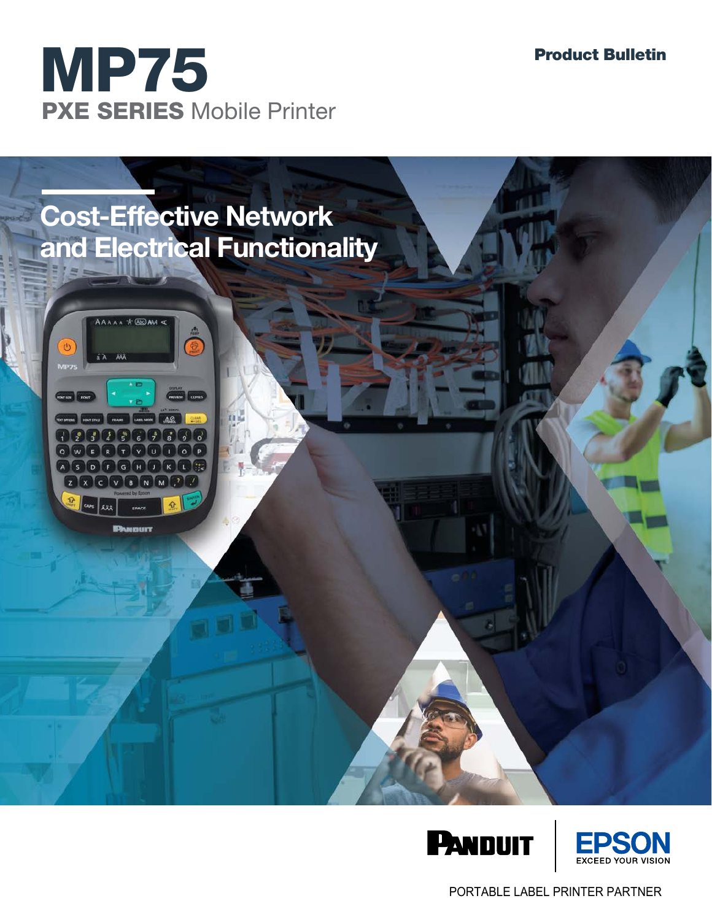







PORTABLE LABEL PRINTER PARTNER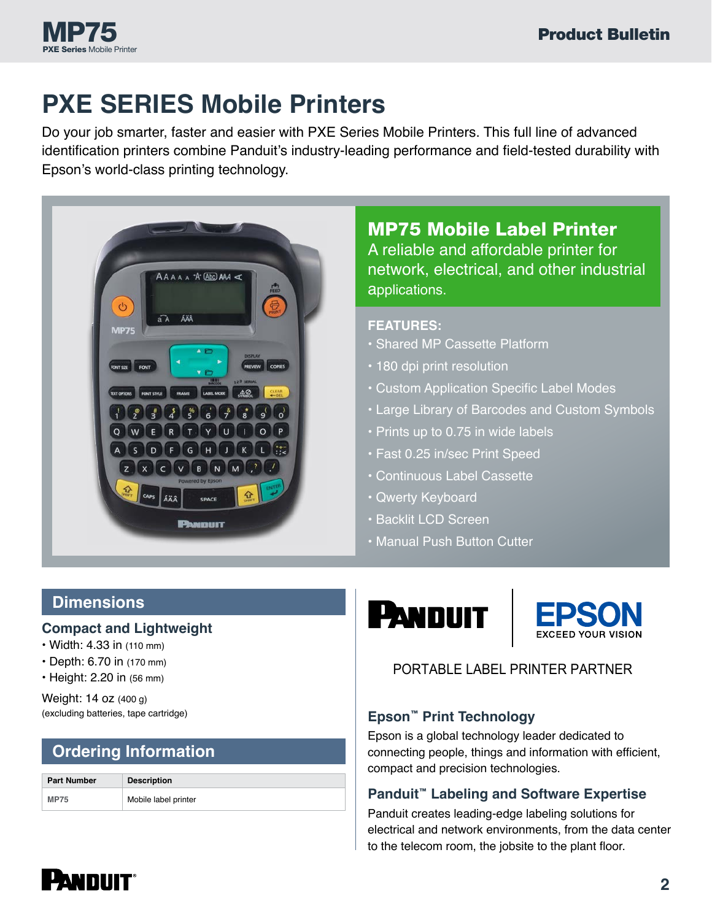

# **PXE SERIES Mobile Printers**

Do your job smarter, faster and easier with PXE Series Mobile Printers. This full line of advanced identification printers combine Panduit's industry-leading performance and field-tested durability with Epson's world-class printing technology.



# MP75 Mobile Label Printer

A reliable and affordable printer for network, electrical, and other industrial applications.

- **FEATURES:**
- Shared MP Cassette Platform
- 180 dpi print resolution
- Custom Application Specific Label Modes
- Large Library of Barcodes and Custom Symbols
- Prints up to 0.75 in wide labels
- Fast 0.25 in/sec Print Speed
- Continuous Label Cassette
- Qwerty Keyboard
- Backlit LCD Screen
- Manual Push Button Cutter

# **Dimensions**

#### **Compact and Lightweight**

- Width: 4.33 in (110 mm)
- Depth: 6.70 in (170 mm)
- Height: 2.20 in (56 mm)

Weight: 14 oz (400 g)

# **Ordering Information**

| <b>Part Number</b> | <b>Description</b>   |
|--------------------|----------------------|
| <b>MP75</b>        | Mobile label printer |





### PORTABLE LABEL PRINTER PARTNER PORTABLE LABEL PRINTER PARTNER

#### (excluding batteries, tape cartridge) **Epson™ Print Technology**

Epson is a global technology leader dedicated to connecting people, things and information with efficient, compact and precision technologies.

#### **Panduit™ Labeling and Software Expertise**

Panduit creates leading-edge labeling solutions for electrical and network environments, from the data center to the telecom room, the jobsite to the plant floor.

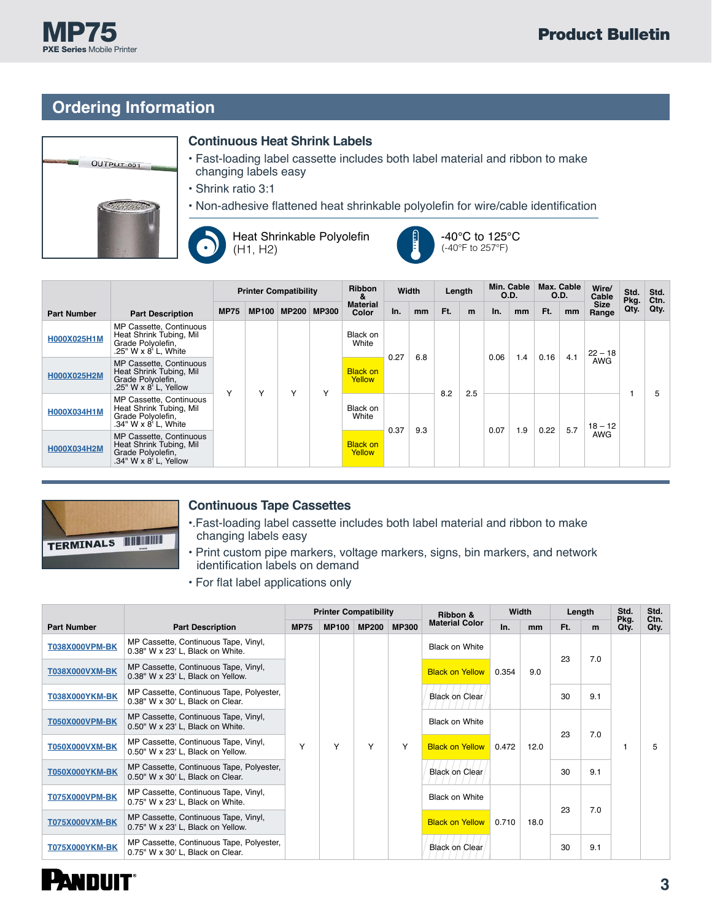# **Ordering Information**

MP75 PXE Series Mobile Printer









|                    |                                                                                                  | <b>Printer Compatibility</b> |              |              | <b>Ribbon</b><br>Width<br>& |                           |      | Length        |     | Min. Cable<br>O.D. |      | Max. Cable<br><b>O.D.</b> |      | Wire/<br>Cable | Std.<br>Pkg.         | Std.<br>Ctn. |      |  |     |  |  |  |  |           |  |
|--------------------|--------------------------------------------------------------------------------------------------|------------------------------|--------------|--------------|-----------------------------|---------------------------|------|---------------|-----|--------------------|------|---------------------------|------|----------------|----------------------|--------------|------|--|-----|--|--|--|--|-----------|--|
| <b>Part Number</b> | <b>Part Description</b>                                                                          | <b>MP75</b>                  | <b>MP100</b> | <b>MP200</b> | <b>MP300</b>                | <b>Material</b><br>Color  | In.  | <sub>mm</sub> | Ft. | m                  | In.  | mm                        | Ft.  | mm             | <b>Size</b><br>Range | Qty.         | Qty. |  |     |  |  |  |  |           |  |
| H000X025H1M        | MP Cassette, Continuous<br>Heat Shrink Tubing, Mil<br>Grade Polyolefin,<br>.25" W x 8' L, White  | Υ                            |              |              | $\checkmark$                | Black on<br>White         | 0.27 | 6.8           | 8.2 |                    | 0.06 | 1.4                       | 0.16 | 4.1            | $22 - 18$<br>AWG     |              |      |  |     |  |  |  |  |           |  |
| H000X025H2M        | MP Cassette, Continuous<br>Heat Shrink Tubing, Mil<br>Grade Polyolefin,<br>.25" W x 8' L, Yellow |                              | Y            | Υ            |                             | <b>Black on</b><br>Yellow |      |               |     |                    |      |                           |      |                |                      |              |      |  |     |  |  |  |  |           |  |
| H000X034H1M        | MP Cassette, Continuous<br>Heat Shrink Tubing, Mil<br>Grade Polyolefin,<br>.34" W x 8' L, White  |                              |              |              |                             |                           |      |               |     |                    |      |                           |      |                | Black on<br>White    |              |      |  | 2.5 |  |  |  |  | $18 - 12$ |  |
| H000X034H2M        | MP Cassette, Continuous<br>Heat Shrink Tubing, Mil<br>Grade Polyolefin,<br>.34" W x 8' L, Yellow |                              |              |              |                             | <b>Black on</b><br>Yellow |      | 0.37<br>9.3   |     |                    | 0.07 | 1.9                       | 0.22 | 5.7            | <b>AWG</b>           |              |      |  |     |  |  |  |  |           |  |



#### **Continuous Tape Cassettes**

- •.Fast-loading label cassette includes both label material and ribbon to make changing labels easy
- Print custom pipe markers, voltage markers, signs, bin markers, and network identification labels on demand
- For flat label applications only

|                       | <b>Part Description</b>                                                      |              | <b>Printer Compatibility</b> |              |              | Ribbon &                     | Width |      | Length   |     | Std.         | Std.<br>Ctn. |
|-----------------------|------------------------------------------------------------------------------|--------------|------------------------------|--------------|--------------|------------------------------|-------|------|----------|-----|--------------|--------------|
| <b>Part Number</b>    |                                                                              |              | <b>MP100</b>                 | <b>MP200</b> | <b>MP300</b> | <b>Material Color</b>        | In.   | mm   | Ft.<br>m |     | Pkg.<br>Qty. | Qty.         |
| <b>T038X000VPM-BK</b> | MP Cassette, Continuous Tape, Vinyl,<br>0.38" W x 23' L, Black on White.     |              |                              |              |              | Black on White               |       |      | 23       |     |              |              |
| <b>T038X000VXM-BK</b> | MP Cassette, Continuous Tape, Vinyl,<br>0.38" W x 23' L, Black on Yellow.    |              |                              |              |              | <b>Black on Yellow</b>       | 0.354 | 9.0  |          | 7.0 | 1            | 5            |
| <b>T038X000YKM-BK</b> | MP Cassette, Continuous Tape, Polyester,<br>0.38" W x 30' L, Black on Clear. |              |                              |              |              | <b>Black on Clear</b>        |       |      | 30       | 9.1 |              |              |
| <b>T050X000VPM-BK</b> | MP Cassette, Continuous Tape, Vinyl,<br>0.50" W x 23' L, Black on White.     |              |                              |              |              | <b>Black on White</b>        |       | 12.0 | 23       | 7.0 |              |              |
| <b>T050X000VXM-BK</b> | MP Cassette, Continuous Tape, Vinyl,<br>0.50" W x 23' L, Black on Yellow.    | $\checkmark$ | Υ                            | Υ            | Υ            | <b>Black on Yellow</b> 0.472 |       |      |          |     |              |              |
| <b>T050X000YKM-BK</b> | MP Cassette, Continuous Tape, Polyester,<br>0.50" W x 30' L, Black on Clear. |              |                              |              |              | <b>Black on Clear</b>        |       |      | 30       | 9.1 |              |              |
| <b>T075X000VPM-BK</b> | MP Cassette, Continuous Tape, Vinyl,<br>0.75" W x 23' L, Black on White.     |              |                              |              |              | <b>Black on White</b>        |       |      | 23       |     |              |              |
| <b>T075X000VXM-BK</b> | MP Cassette, Continuous Tape, Vinyl,<br>0.75" W x 23' L, Black on Yellow.    |              |                              |              |              | <b>Black on Yellow</b> 0.710 |       | 18.0 |          | 7.0 |              |              |
| <b>T075X000YKM-BK</b> | MP Cassette, Continuous Tape, Polyester,<br>0.75" W x 30' L, Black on Clear. |              |                              |              |              | <b>Black on Clear</b>        |       |      | 30       | 9.1 |              |              |